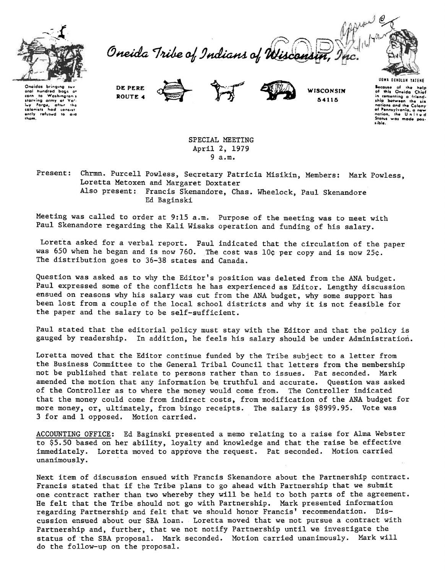

Oneida Tribe of Indians of Wiscom



**Onaidat bring1ng St.r"**  aral hundred bags of<br>
starving army at Vo'-<br> **starving army at Vo'-**<br>
lwy forge, after the<br>
colonists hod consist **ently ref\ltwd to o•ct thafft.** 

DE PERE ROUTE **-4** 



**WISCONSIN** 6-4115

UGWA DEHOLUN YATENE **kcouao of the help**  of IIIIo Onvida Chiof **in cementing o ·friend· ship betweett the** •i• **notions and the Colony of '•nntylwonio. o** ,\_.., **notion. tke U n i t v d Stotwt wa1 mode poa. sibla.** 

SPECIAL MEETING April 2, 1979 9 a.m.

Present: Chrmn. Purcell Powless, Secretary Patricia Misikin, Members: Mark Powless, Loretta Metoxen and Margaret Doxtater Also present: Francis Skenandore, Chas. Wheelock, Paul Skenandore Ed Baginski

Meeting *was* called to order at 9:15 a.m. Purpose of the meeting *was* to meet with Paul Skenandore regarding the Kali Wisaks operation and funding of his salary.

Loretta asked for a verbal report. Paul indicated that the circulation of the paper *was* 650 when he began and is now 760. The cost *was* 10¢ per copy and is now 25¢. The distribution goes to 36-38 states and Canada.

Question was asked as to why the Editor's position was deleted from the ANA budget. Paul expressed some of the conflicts he has experienced as Editor. Lengthy discussion ensued on reasons why his salary was cut from the ANA budget, why some support has been lost from a couple of the local school districts and why it is not feasible for the paper and the salary to be self-sufficient.

Paul stated that the editorial policy must stay with the Editor and that the policy is gauged by readership. In addition, he feels his salary should be under Administration.

Loretta moved that the Editor continue funded by the Tribe subject to a letter from the Business Committee to the General Tribal Council that letters from the membership not be published that relate to persons rather than to issues. Pat seconded. Mark amended the motion that any information be truthful and accurate. Question was asked of the Controller as to where the money would come from. The Controller indicated that the money could come from indirect costs, from modification of the ANA budget for more money, or, ultimately, from bingo receipts. The salary is \$8999.95. Vote was 3 for and 1 opposed. Motion carried.

ACCOUNTING OFFICE: Ed Baginski presented a memo relating to a raise for Alma Webster to \$5.50 based on her ability, loyalty and knowledge and that the raise be effective immediately. Loretta moved to approve the request. Pat seconded. Motion carried unanimously.

Next item of discussion ensued with Francis Skenandore about the Partnership contract. Francis stated that if the Tribe plans to go ahead with Partnership that we submit one contract rather than *two* whereby they will be held to both parts of the agreement. He felt that the Tribe should not go with Partnership. Mark presented information regarding Partnership and felt that *we* should honor Francis' recommendation. Discussion ensued about our SBA loan. Loretta moved that we not pursue a contract with Partnership and, further, that we not notify Partnership until *we* investigate the status of the SBA proposal. Mark seconded. Motion carried unanimously. Mark will do the follow-up on the proposal.